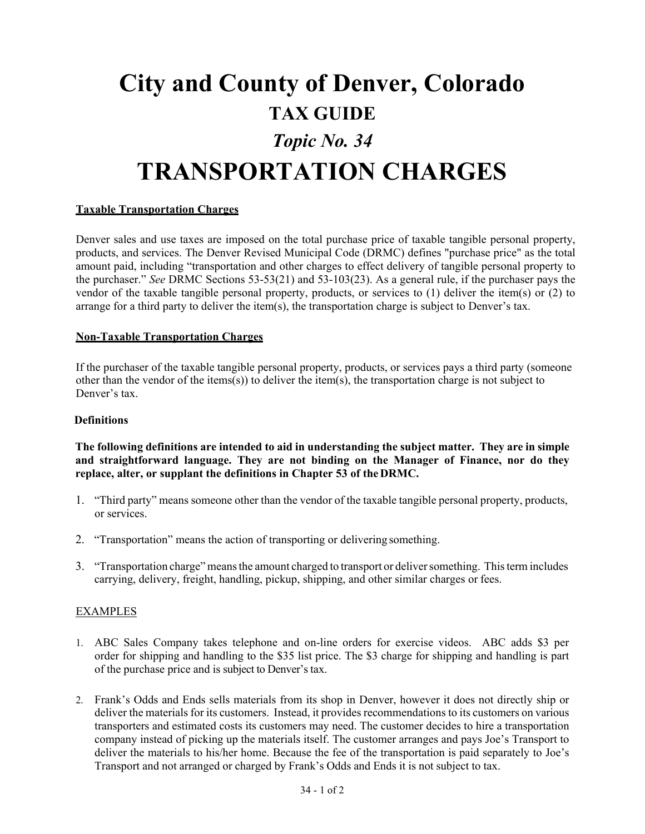# **City and County of Denver, Colorado TAX GUIDE** *Topic No. 34* **TRANSPORTATION CHARGES**

## **Taxable Transportation Charges**

Denver sales and use taxes are imposed on the total purchase price of taxable tangible personal property, products, and services. The Denver Revised Municipal Code (DRMC) defines "purchase price" as the total amount paid, including "transportation and other charges to effect delivery of tangible personal property to the purchaser." *See* DRMC Sections 53-53(21) and 53-103(23). As a general rule, if the purchaser pays the vendor of the taxable tangible personal property, products, or services to (1) deliver the item(s) or (2) to arrange for a third party to deliver the item(s), the transportation charge is subject to Denver's tax.

### **Non-Taxable Transportation Charges**

If the purchaser of the taxable tangible personal property, products, or services pays a third party (someone other than the vendor of the items(s)) to deliver the item(s), the transportation charge is not subject to Denver's tax.

#### **Definitions**

**The following definitions are intended to aid in understanding the subject matter. They are in simple and straightforward language. They are not binding on the Manager of Finance, nor do they replace, alter, or supplant the definitions in Chapter 53 of the DRMC.**

- 1. "Third party" means someone other than the vendor of the taxable tangible personal property, products, or services.
- 2. "Transportation" means the action of transporting or delivering something.
- 3. "Transportation charge" meansthe amount charged to transport or deliversomething. Thisterm includes carrying, delivery, freight, handling, pickup, shipping, and other similar charges or fees.

## EXAMPLES

- 1. ABC Sales Company takes telephone and on-line orders for exercise videos. ABC adds \$3 per order for shipping and handling to the \$35 list price. The \$3 charge for shipping and handling is part of the purchase price and is subject to Denver'stax.
- 2. Frank's Odds and Ends sells materials from its shop in Denver, however it does not directly ship or deliver the materials for its customers. Instead, it provides recommendations to its customers on various transporters and estimated costs its customers may need. The customer decides to hire a transportation company instead of picking up the materials itself. The customer arranges and pays Joe's Transport to deliver the materials to his/her home. Because the fee of the transportation is paid separately to Joe's Transport and not arranged or charged by Frank's Odds and Ends it is not subject to tax.